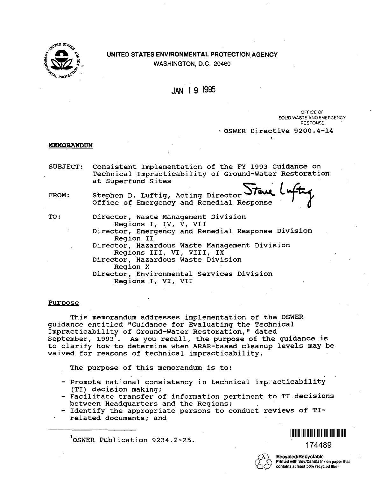

# UNITED **STATES ENVIRONMENTAL** PROTECTION **AGENCY**

WASHINGTON, D.C. 20460

# JAN I 9 1995

OfflCE OF SOL!D WASTE ANO EMERGENCY RESPONSE

· **OSWER Directive 9200. 4-14** 

### **MEMORANDUM**

SUBJECT: Consistent Implementation of the FY 1993 Guidance on Technical Impracticability of Ground-Water Restoration at Superfund Sites

 $FROM:$  Stephen D. Luftig, Acting Director Office of Emergency and Remedial Response

TO: Director, Waste Management Division Regions I, IV, V, VII

Director, Emergency and Remedial Response Division Region II

Director, Hazardous Waste Management Division Regions III, VI, VIII, IX

Director, Hazardous Waste Division Region X Director, Environmental Services Division

**Regions** I, VI, VII

#### Purpose

This memorandum addresses implementation of the OSWER guidance entitled "Guidance for Evaluating the Technical Impracticability of Ground-Water Restoration," dated September,  $1993^T$ . As you recall, the purpose of the guidance is to clarify how to determine when ARAR-based cleanup levels may be. waived for reasons of technical impracticability.

- The purpose of this memorandum is to:
- Promote national consistency in technical impracticability<br>(TI) decision making;
- (TI) d~cision making; Facilitate transfer of information pe.rtinent to TI **.decisions**
- Identify the appropriate persons to conduct reviews of TIrelated documents; and

1 0SWER Publication 9234.2-25.



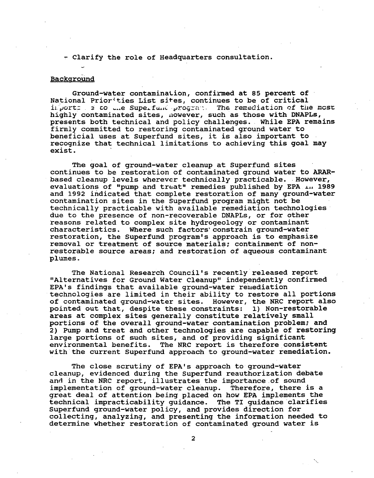- Clarify the role of Headquarters consultation.

# Background

Ground-water contamination, confirmed at 85 percent of National Priorities List sites, continues to be of critical in ports so to the Superfund program. The remediation of the most highly contaminated sites, nowever, such as those with DNAPLs, presents both technical and policy challenges. While EPA remains firmly committed to restoring contaminated ground water to beneficial uses at Superfund sites, it is also important to recognize that technical limitations to achieving this goal may exist.

The goal of ground-water cleanup at Superfund sites continues to be restoration of contaminated ground water to ARARbased cleanup levels wherever technically practicable. However, evaluations of "pump and treat" remedies published by EPA ... 1989 and 1992 indicated that complete restoration of many ground-water contamination sites in the Superfund program might not be technically practicable with available remediation technologies· due to the presence of non-recoverable DNAPLs, or for other reasons related to complex site hydrogeology or contaminant characteristics. Where such factors'constrain ground-water restoration, the Superfund program's approach is to emphasize removal or treatment of source materials; containment of nonrestorable source areas; and restoration of aqueous contaminant plumes.

The National Research Council's recently released report "Alternatives for Ground Water Cleanup" independently confirmed EPA's findings that available ground-water remediation technologies are limited in their ability to restore all portions of contaminated ground-water sites. However, the NRC report also pointed out that, despite these constraints: 1) Non-restorable areas at complex sites generally constitute relatively small portions of the overall ground-water contamination problem; and 2) Pump and treat and other technologies are capable of restoring large portions of such sites, and of providing significant environmental benefits. The NRC report is therefore consistent with the current Superfund approach to ground-water remediation.

The close scrutiny of EPA's approach to ground-water cleanup, evidenced during the superfund reauthorization debate and in the NRC report, illustrates the importance of sound implementation of ground-water cleanup. Therefore, there is a great deal of attention being placed on how EPA implements the technical impracticability guidance. The TI guidance clarifies Superfund ground-water policy, and provides direction for collecting, analyzing, and presenting the information needed to determine whether restoration of contaminated ground water is

2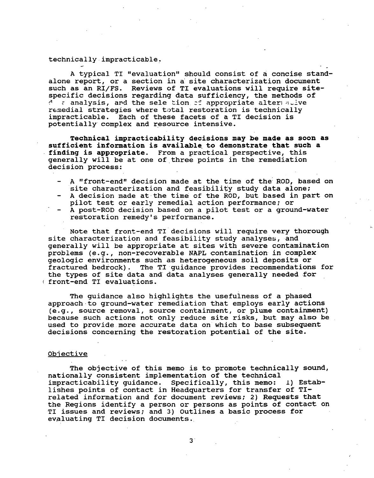# technically impracticable.

A typical TI "evaluation" should consist of a concise standalone report, or a section in a· site characterization document such as an RI/FS. Reviews of TI evaluations will require sitespecific decisions regarding data sufficiency, the methods of  $\epsilon$  analysis, and the sele tion of appropriate alternative remedial strategies where total restoration is technically impracticable. Each of these facets of a TI decision is potentially complex and resource intensive.

**Technical impracticability decisions may be made as soon as sufficient information is available. to demonstrate that such a finding is appropriate.** From a practical perspective, this generally will be at one of three points in the remediation decision process:

- A "front-end" decision made at the time of the: ROD, based on site characterization and feasibility study data alone; A decision made at the time of the ROD, but based in part on
	- pilot test or early remedial action performance; or
- A post-ROD decision based on a pilot test or a ground-water restoration remedy's performance.

Note that front-end TI decisions will require very thorough site characterization and feasibility study analyses, and generally will be appropriate at sites with severe contamination problems (e.g., non-recoverable NAPL contamination in complex geologic environments such as heterogeneous soil deposits or fractured bedrock). The TI guidance provides recommendations for the types of site data and data analyses generally needed for <sup>f</sup>front-end TI evaluations.

The guidance also highlights the usefulness of a phased approach to ground-water remediation that employs early actions (e.g., source removal, source containment, or plume containment) because such actions not only reduce site risks, but may also be used to provide more accurate data on which to base subsequent decisions concerning the restoration potential of the site.

#### Objective

The objective of this memo is to promote technically sound, nationally consistent implementation of the technical impracticability guidance. Specifically, this memo: l) Establishes points of contact in Headquarters for transfer of TIrelated information and for document reviews; 2) Requests that the Regions identify a person or persons as points of contact on TI issues and reviews; and 3) Outlines a basic process for evaluating TI decision documents.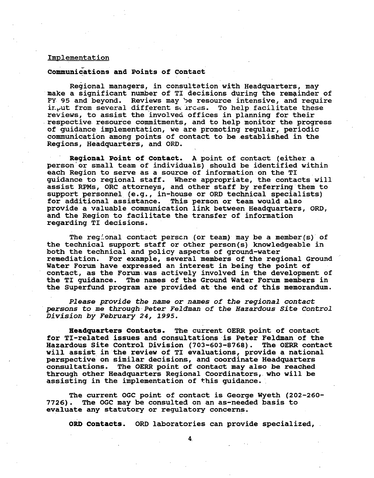# Implementation

### **Communications and Points** of **Contact**

Regional managers, in consultation with Headquarters, may make a significant number of TI decisions during the remainder of FY 95 and beyond. Reviews may be resource intensive, and require in.ut from several different sources. To help facilitate these reviews, to assist the involved offices in planning for their respective resource commitments, and to help monitor the progress of guidance implementation, we are promoting regular, periodic communication among points of contact to be .established in the Regions, Headquarters, and ORD.

**Regional Point of Contact. A** point of contact (either a person'or small team of individuals) should be identified within each Region to serve as a source of information on the TI guidance to regional staff. Where appropriate, the contacts will assist RPMs, ORC attorneys, and other staff by referring them to support personnel (e.g., in-house or ORD technical specialists)<br>for additional assistance. This person or team would also This person or team would also provide a valuable communication link between Headquarters, ORD, and the Region to facilitate the transfer of information regarding TI decisions.

The regional contact person (or team) may be a member(s) of the technical support staff or other person(s) knowledgeable in both the technical and policy aspects of ground-water remediation. For example, several members of the regional Ground Water Forum have expressed an interest in being the point of contact, as the Forum.was actively involved in the development of the TI guidance. The names of the Ground Water Forum members in the Superfund program are provided at the end of this memorandum.

*Please provide the name or names of the regional contact* · *persons to* me *through-Peter Feldman of the Hazardous Site Control Division by February 24, 1995.* 

**Headquarters Contacts.** The current OERR point of contact for TI-related issues and consultations is Peter Feldman of the Hazardous Site Control Division (703-603-8768). The OERR contact will assist in the review of TI evaluations, provide a national perspective on similar decisions, and coordinate Headquarters<br>consultations. The OERR point of contact may also be reached The OERR point of contact may also be reached through other Headquarters Regional Coordinators, who will be assisting in the implementation of this guidance.

The current OGC point of contact is George Wyeth (202-260-<br>7726). The OGC may be consulted on an as-needed basis to The *OGC* may be consulted on an as-needed basis to evaluate any statutory or regulatory concerns.

**ORD Contacts.** ORD laboratories can provide specialized,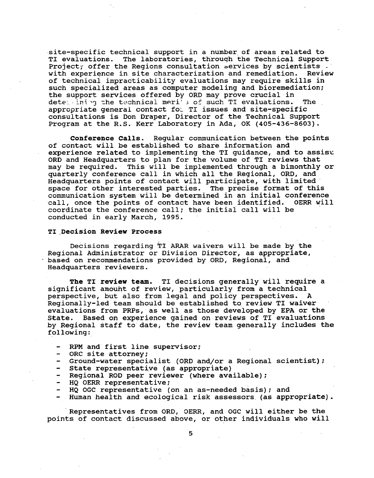site-specific technical support in a number of areas related to<br>TI evaluations. The laboratories, through the Technical Suppor The laboratories, through the Technical Support Project; offer the Regions consultation services by scientists  $\cdot$  with experience in site characterization and remediation. Review with experience in site characterization and remediation. of technical impracticability evaluations may require skills in such specialized areas as computer modeling and bioremediation; the support services offered by ORD may prove crucial in dete:.. ining the technical meri's of such TI evaluations. The appropriate general contact for TI issues and site-specific consultations is Don Draper, Director of the Technical Support Program at the R.S. Kerr Laboratory in Ada, OK (405-436-8603).

**Conference Calls.** Regular communication between the points of contact will be established to share information and experience related to implementing the TI guidance, and to assist ORD and Headquarters to plan for the volume of TI reviews that<br>may be required. This will be implemented through a bimonthly This will be implemented through a bimonthly or quarterly conference call in which all the Regional, ORD, and Headquarters points of contact will participate, with limited space for other interested parties. The precise format of this communication system will be determined in an initial conference call, once the points of contact have been identified. OERR will coordinate the conference call; the initial call will be conducted in early March, 1995.

#### **TI Decision Review Process**

Decisions regarding TI ARAR waivers will be made by the Regional Administrator or Division Director, as appropriate, based on recommendations provided by ORD, Regional, and Headquarters reviewers.

**The TI review team.** TI decisions generally will require a significant amouht of review, particularly from a technical perspective, but also from legal and policy perspectives. A Regionally-led team should be established to review TI **waiver**  evaluations from PRPs, as well as those developed by EPA or the State. Based on experience gained on reviews of TI evaluations by Regional staff to date; the review team generally includes the following:

- RPM and first line supervisor;
- ORC site attorney;
- Ground-water specialist (ORD and/or a Regional scientist);  $\rightarrow$
- State representative (as appropriate)
- Regional ROD peer reviewer (where available);
- HQ OERR representative; .
- HQ OGC representative (on an as-needed basis); and
- Human health and ecological risk assessors (as appropriate).  $\rightarrow$

Representatives from ORD, OERR, and OGC will either be the points of contact discussed above, or other individuals who will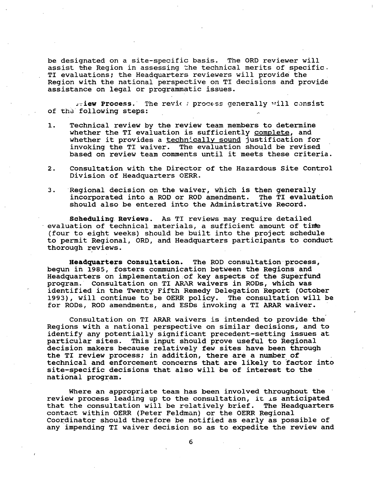be designated on a site-specific basis. The ORD reviewer will assist the Region in assessing the technical merits of specific. TI evaluations; the Headquarters reviewers will provide the Region with the national perspective on TI decisions and provide assistance on legal or programmatic issues.

*.-·:* iew Process.· The revic *:* pro~e--ss generally will c,1nsist of the following steps:

- 1. Technical review by the review team members to determine whether the TI evaluation is sufficiently complete, and whether it provides a technically sound justification for invoking the TI waiver. The evaluation should be revised based on review team comments until it meets these criteria.
- 2. Consultation with the Director of the Hazardous Site Control Division of Headquarters OERR.
- 3. Regional decision on the waiver, which is then generally incorporated into a ROD or ROD amendment. The TI evaluation should also be entered into the Administrative Record.

**Scheduling. Reviews.** As TI reviews may require detailed evaluation of technical materials, a sufficient amount of tinfe (four to eight weeks) should be built into the project schedule to permit Regional, ORD, and Headquarters participants to conduct thorough reviews.

Headquarters Consultation. The ROD consultation process, begun in 1985, fosters communication between the Regions and Headquarters on implementation of key aspects of the Superfund program. Consultation on TI ARAR waivers in RODs, which was identified in the Twenty Fifth Remedy Delegation Report (October 1993), will continue to be OERR policy. The consultation will be for RODs, ROD amendments, and ESDs invoking a TI ARAR waiver.

Consultation on TI ARAR waivers is intended to provide the Regions with a national perspective on similar decisions, and to identify any potentially significant precedent-setting issues at particular sites. This input should prove useful to Regional decision makers because relatively few sites have been through the TI review process; in addition, there are a number of technical and enforcement concerns that are likely to factor into site-specific decisions that also will be of interest to the national program.

Where an appropriate team has been involved throughout the review process leading up to the consultation, it is anticipated that the consultation will be relatively brief. The Headquarters contact within OERR (Peter Feldman) or the OERR Regional Coordinator should therefore be notified as early as possible of any impending TI waiver decision so as to expedite the review and

6